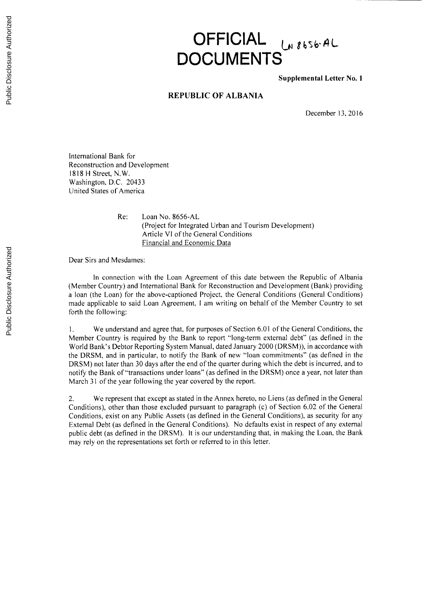## **OFFICIAL** *LABSSGAL* **DOCUMENTS**

**Supplemental Letter No. 1**

## **REPUBLIC OF ALBANIA**

December **13, 2016**

International Bank for Reconstruction and Development **1818** H Street, N.W. Washington, **D.C.** 20433 United States of America

> Re: Loan No. **8656-AL** (Project for Integrated Urban and Tourism Development) Article VI of the General Conditions Financial and Economic Data

Dear Sirs and Mesdames:

In connection with the Loan Agreement of this date between the Republic of Albania (Member Country) and International Bank for Reconstruction and Development (Bank) providing a loan (the Loan) for the above-captioned Project, the General Conditions (General Conditions) made applicable to said Loan Agreement, **I** am writing on behalf of the Member Country to set forth the following:

**1.** We understand and agree that, for purposes of Section **6.01** of the General Conditions, the Member Country is required **by** the Bank to report "long-term external debt" (as defined in the World Bank's Debtor Reporting System Manual, dated January 2000 (DRSM)), in accordance with the DRSM, and in particular, to notify the Bank of new "loan commitments" (as defined in the DRSM) not later than **30** days after the end of the quarter during which the debt is incurred, and to notify the Bank of "transactions under loans" (as defined in the DRSM) once a year, not later than March **31** of the year following the year covered **by** the report.

2. We represent that except as stated in the Annex hereto, no Liens (as defined in the General Conditions), other than those excluded pursuant to paragraph (c) of Section **6.02** of the General Conditions, exist on any Public Assets (as defined in the General Conditions), as security for any External Debt (as defined in the General Conditions). No defaults exist in respect of any external public debt (as defined in the DRSM). It is our understanding that, in making the Loan, the Bank may rely on the representations set forth or referred to in this letter.